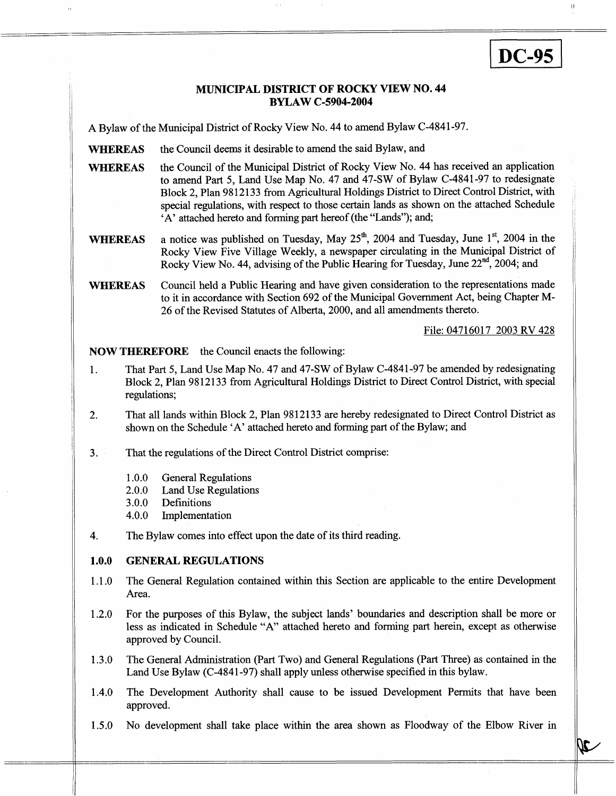# **DC-95**

## **MUNICIPAL DISTRICT OF ROCKY VIEW NO. 44 BYLAW C-5904-2004**

, In the contract of the contract of the contract of the contract of the contract of the contract of the contract of the contract of the contract of the contract of the contract of the contract of the contract of the cont

**A** Bylaw of the Municipal District of Rocky View No. 44 to amend Bylaw C-4841-97.

- **WHEREAS**  the Council deems it desirable to amend the said Bylaw, and
- **WHEREAS**  the Council of the Municipal District of Rocky View No. 44 has received an application to amend Part *5,* Land Use Map No. 47 and 47-SW of Bylaw C-4841-97 to redesignate Block 2, Plan 9812133 from Agricultural Holdings District to Direct Control District, with special regulations, with respect to those certain lands as shown on the attached Schedule **'A'** attached hereto and forming part hereof (the "Lands"); and;
- a notice was published on Tuesday, May  $25<sup>th</sup>$ , 2004 and Tuesday, June 1<sup>st</sup>, 2004 in the Rocky View Five Village Weekly, a newspaper circulating in the Municipal District of Rocky View No. 44, advising of the Public Hearing for Tuesday, June  $22^{nd}$ ,  $2004$ ; and **WHEREAS**
- Council held a Public Hearing and have given consideration to the representations made to it in accordance with Section 692 of the Municipal Government Act, being Chapter M-26 of the Revised Statutes of Alberta, 2000, and all amendments thereto. **WHEREAS**

File: 04716017 2003 RV 428

**NOW THEREFORE** the Council enacts the following:

- 1. That Part *5,* Land Use Map No. 47 and 47-SW of Bylaw C-4841-97 be amended by redesignating Block 2, Plan 9812133 from Agricultural Holdings District to Direct Control District, with special regulations;
- 2. That all lands within Block 2, Plan 9812133 are hereby redesignated to Direct Control District as shown on the Schedule 'A' attached hereto and forming part of the Bylaw; and
- 3. That the regulations of the Direct Control District comprise:
	- 1 .O.O General Regulations
	- 2.0.0 Land Use Regulations
	- 3.0.0 Definitions
	- 4.0.0 Implementation
- 4. The Bylaw comes into effect upon the date of its third reading.

#### **1 .o.o GENERAL REGULATIONS**

- 1.1 .o The General Regulation contained within this Section are applicable to the entire Development Area.
- 1.2.0 For the purposes of this Bylaw, the subject lands' boundaries and description shall be more or less as indicated in Schedule "A" attached hereto and forming part herein, except as otherwise approved by Council.
- 1.3.0 The General Administration (Part Two) and General Regulations (Part Three) as contained in the Land Use Bylaw (C-4841-97) shall apply unless otherwise specified in this bylaw.
- 1.4.0 The Development Authority shall cause to be issued Development Permits that have been approved.
- $1.5.0$ No development shall take place within the area shown as Floodway of the Elbow River in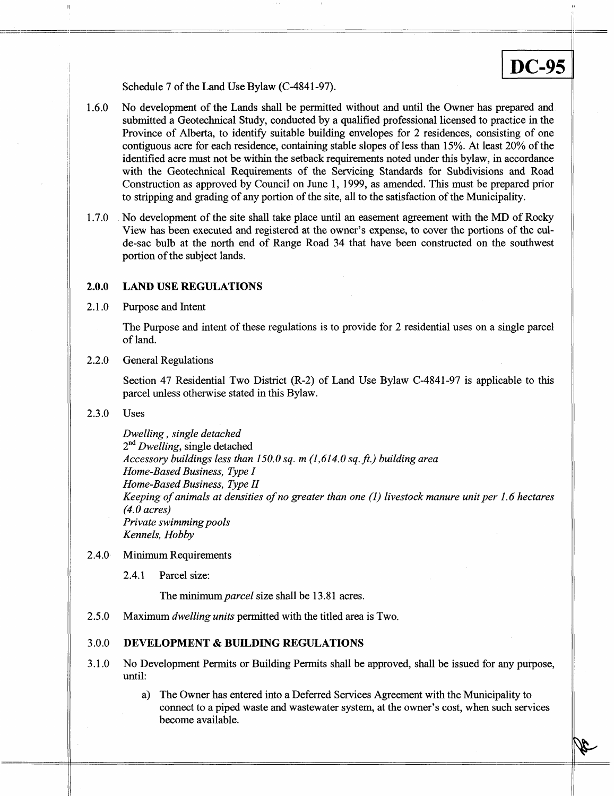### Schedule 7 of the Land Use Bylaw (C-4841-97).

1.6.0 No development of the Lands shall be permitted without and until the Owner has prepared and submitted a Geotechnical Study, conducted by a qualified professional licensed to practice in the Province of Alberta, to identify suitable building envelopes for 2 residences, consisting of one contiguous acre for each residence, containing stable slopes of less than 15%. At least 20% of the identified acre must not be within the setback requirements noted under this bylaw, in accordance with the Geotechnical Requirements of the Servicing Standards for Subdivisions and Road Construction as approved by Council on June 1, 1999, as amended. This must be prepared prior to stripping and grading of any portion of the site, all to the satisfaction of the Municipality.

<sup>I</sup>**DC-95** 

1.7.0 No development of the site shall take place until an easement agreement with the MD of Rocky View has been executed and registered at the owner's expense, to cover the portions of the culde-sac bulb at the north end of Range Road 34 that have been constructed on the southwest portion of the subject lands.

#### **2.0.0 LAND USE REGULATIONS**

2.1 .o Purpose and Intent

> The Purpose and intent of these regulations is to provide for 2 residential uses on a single parcel of land.

2.2.0 General Regulations

> Section 47 Residential Two District (R-2) of Land Use Bylaw C-4841-97 is applicable to this parcel unless otherwise stated in this Bylaw.

2.3.0 Uses

> *Dwelling, single detached*  2nd *Dwelling,* single detached *Accessory buildings less than 150.0 sq. m (1,614.0 sq. ft.) building area Home-Based Business, Type I Home-Based Business, Type I1 Keeping of animals at densities of no greater than one (1) livestock manure unit per 1.6 hectares (4.0 acres) Private swimming pools Kennels, Hobby*

#### 2.4.0 Minimum Requirements

2.4.1 Parcel size:

The minimum *parcel* size shall be **13.8** 1 acres.

2.5.0 Maximum *dwelling units* permitted with the titled area is Two.

#### 3.0.0 **DEVELOPMENT** & **BUILDING REGULATIONS**

- 3.1.0 No Development Permits or Building Permits shall be approved, shall be issued for any purpose, until:
	- a) The Owner has entered into a Deferred Services Agreement with the Municipality to connect to a piped waste and wastewater system, at the owner's cost, when such services become available.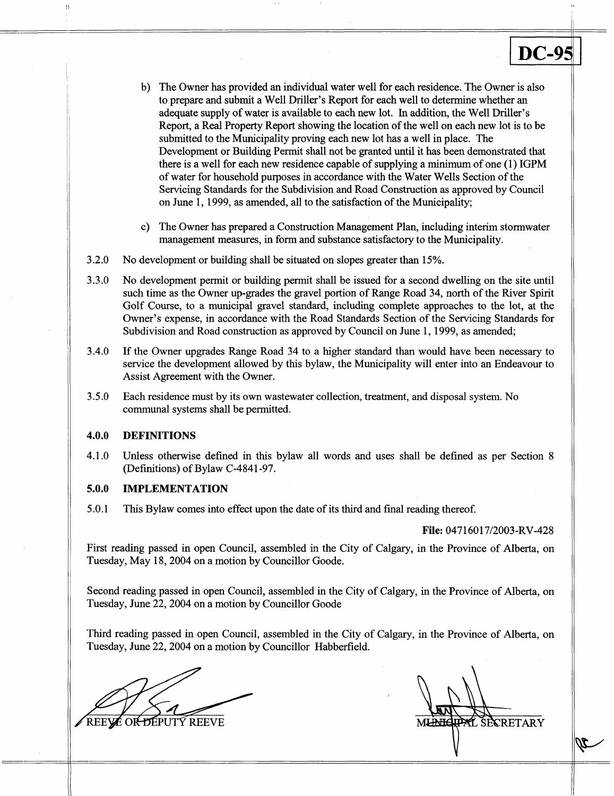- b) The Owner has provided an individual water well for each residence. The Owner is also to prepare and submit a Well Driller's Report for each well to determine whether an adequate supply of water is available to each new lot. In addition, the Well Driller's Report, a Real Property Report showing the location of the well on each new lot is to be submitted to the Municipality proving each new lot has a well in place. The Development or Building Permit shall not be granted until it has been demonstrated that there is a well for each new residence capable of supplying a minimum of one (1) IGPM of water for household purposes in accordance with the Water Wells Section of the Servicing Standards for the Subdivision and Road Construction **as** approved by Council on June 1, 1999, as amended, all to the satisfaction of the Municipality;
- c) The Owner has prepared a Construction Management Plan, including interim stormwater management measures, in form and substance satisfactory to the Municipality.
- 3.2.0 No development or building shall be situated on slopes greater than 15%.
- 3.3.0 No development permit or building permit shall be issued for a second dwelling on the site until such time as the Owner up-grades the gravel portion of Range Road 34, north of the River Spirit Golf Course, to a municipal gravel standard, including complete approaches to the lot, at the Owner's expense, in accordance with the Road Standards Section of the Servicing Standards for Subdivision and Road construction as approved by Council on June 1,1999, as amended;
- 3.4.0 If the Owner upgrades Range Road 34 to a higher standard than would have been necessary to service the development allowed by this bylaw, the Municipality will enter into an Endeavour to Assist Agreement with the Owner.
- 3.5.0 Each residence must by its own wastewater collection, treatment, and disposal system. No communal systems shall be permitted.

#### **4.0.0 DEFINITIONS**

4.1 .O Unless otherwise defined in this bylaw all words and uses shall be defined as per Section 8 (Definitions) of Bylaw C-4841-97.

#### **5.0.0 IMPLEMENTATION**

5.0.1 This Bylaw comes into effect upon the date of its third and final reading thereof.

## **File: 04716017/2003-RV-428**

First reading passed in open Council, assembled in the City of Calgary, in the Province of Alberta, on Tuesday, May 18,2004 on a motion by Councillor Goode.

Second reading passed in open Council, assembled in the City of Calgary, in the Province of Alberta, on Tuesday, June 22,2004 on a motion by Councillor Goode

'Third reading passed in open Council, assembled in the City of Calgary, in the Province of Alberta, on Tuesday, June 22,2004 on a motion by Councillor Habberfield.

REEYE OR DEPUTY REEVE

SECRETARY **MLANH**